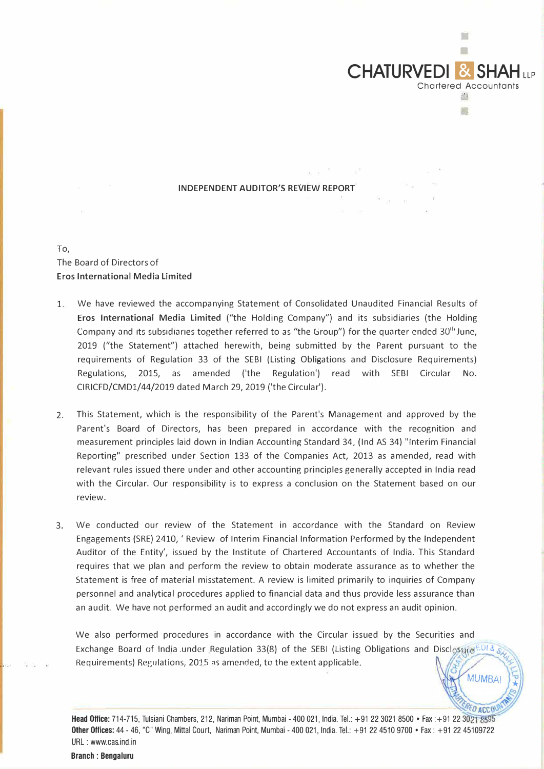

 $\sim$ 

**MUMBA** 

## **INDEPENDENT AUDITOR'S REVIEW REPORT**

## To, The Board of Directors of **Eros International Media Limited**

- 1. We have reviewed the accompanying Statement of Consolidated Unaudited Financial Results of **Eros International Media Limited** ("the Holding Company") and its subsidiaries (the Holding Company and its subsidiaries together referred to as "the Group") for the quarter ended 30<sup>th</sup> June, 2019 ("the Statement") attached herewith, being submitted by the Parent pursuant to the requirements of Regulation 33 of the SEBI (Listing Obligations and Disclosure Requirements) Regulations, 2015, as amended ('the Regulation') read with SEBI Circular No. CIRICFD/CMDl/44/2019 dated March 29, 2019 ('the Circular').
- 2. This Statement, which is the responsibility of the Parent's Management and approved by the Parent's Board of Directors, has been prepared in accordance with the recognition and measurement principles laid down in Indian Accounting Standard 34, (Ind AS 34) "Interim Financial Reporting" prescribed under Section 133 of the Companies Act, 2013 as amended, read with relevant rules issued there under and other accounting principles generally accepted in India read with the Circular. Our responsibility is to express a conclusion on the Statement based on our review.
- 3. We conducted our review of the Statement in accordance with the Standard on Review Engagements (SRE) 2410, 'Review of Interim Financial Information Performed by the Independent Auditor of the Entity', issued by the Institute of Chartered Accountants of India. This Standard requires that we plan and perform the review to obtain moderate assurance as to whether the Statement is free of material misstatement. A review is limited primarily to inquiries of Company personnel and analytical procedures applied to financial data and thus provide less assurance than an audit. We have not performed 3n audit and accordingly we do not express an audit opinion.

We also performed procedures in accordance with the Circular issued by the Securities and Exchange Board of India under Regulation 33(8) of the SEBI (Listing Obligations and Disclosure EDI & .s Requirements) Regulations, 2015 as amended, to the extent applicable.

 $-296C$ Head Office: 714-715, Tulsiani Chambers, 212, Nariman Point, Mumbai - 400 021, India. Tel.: +91 22 3021 8500 • Fax :+91 22 3021 8595 Other Offices: 44 - 46, "C" Wing, Mittal Court, Nariman Point, Mumbai - 400 021, India. Tel.: +91 22 4510 9700 • Fax: +91 22 45109722 URL : www.cas.ind.in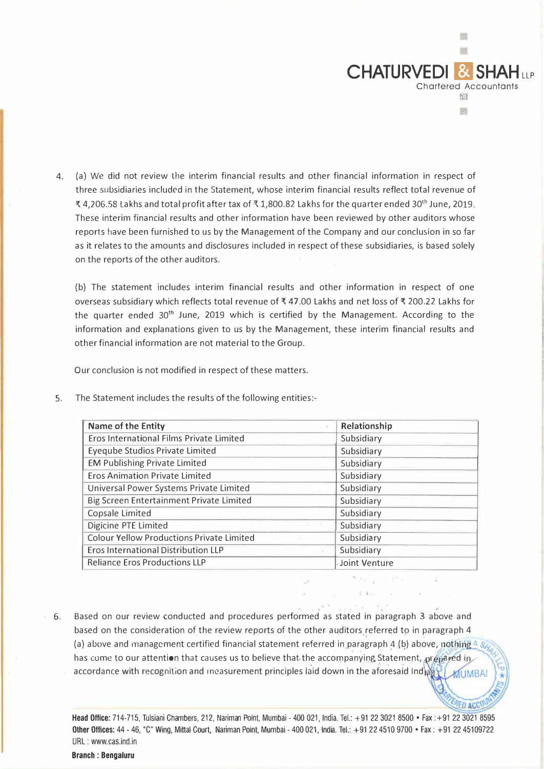

**ED ACC** 

4. (a) We did not review the interim financial results and other financial information in respect of three subsidiaries included in the Statement, whose interim financial results reflect total revenue of � 4,206.58 lakhs and total profit after tax of� 1,800.82 Lakhs for the quarter ended 30th June, 2019. These interim financial results and other information have been reviewed by other auditors whose reports have been furnished to us by the Management of the Company and our conclusion in so far as it relates to the amounts and disclosures included in respect of these subsidiaries, is based solely on the reports of the other auditors.

(b) The statement includes interim financial results and other information in respect of one overseas subsidiary which reflects total revenue of� 47.00 Lakhs and net loss of� 200.22 Lakhs for the quarter ended 30<sup>th</sup> June, 2019 which is certified by the Management. According to the information and explanations given to us by the Management, these interim financial results and other financial information are not material to the Group.

Our conclusion is not modified in respect of these matters.

| Name of the Entity                               | Relationship  |
|--------------------------------------------------|---------------|
| Eros International Films Private Limited         | Subsidiary    |
| Eyeqube Studios Private Limited                  | Subsidiary    |
| <b>EM Publishing Private Limited</b>             | Subsidiary    |
| <b>Eros Animation Private Limited</b>            | Subsidiary    |
| Universal Power Systems Private Limited          | Subsidiary    |
| Big Screen Entertainment Private Limited         | Subsidiary    |
| Copsale Limited                                  | Subsidiary    |
| Digicine PTE Limited                             | Subsidiary    |
| <b>Colour Yellow Productions Private Limited</b> | Subsidiary    |
| <b>Eros International Distribution LLP</b>       | Subsidiary    |
| <b>Reliance Eros Productions LLP</b>             | Joint Venture |

5. The Statement includes the results of the following entities:-

6. Based on our review conducted and procedures performed as stated in paragraph 3 above and based on the consideration of the review reports of the other auditors referred to in paragraph 4 (a) above and management certified financial statement referred in paragraph 4 (b) above, nothi has come to our attention that causes us to believe that-the accompanying Statement, prepared in accordance with recognition and measurement principles laid down in the aforesaid Ind MUMBA

Head Office: 714-715, Tulsiani Chambers, 212, Nariman Point, Mumbai- 400 021, India. Tel.: +91223021 8500 • Fax :+91223021 8595 Other Offices: 44 - 46, "C" Wing, Mittal Court, Nariman Point, Mumbai - 400 021, India. Tel.: +91 22 4510 9700 • Fax: +91 22 45109722 URL : www.cas.ind.in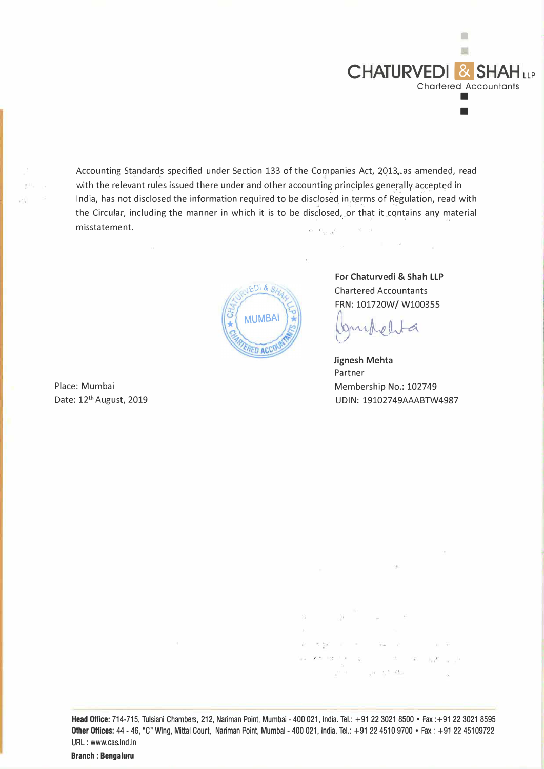

Accounting Standards specified under Section 133 of the Companies Act, 2013, as amended, read with the relevant rules issued there under and other accounting principles generally accepted in India, has not disclosed the information required to be disclosed in terms of Regulation, read with the Circular, including the manner in which it is to be disclosed, or that it contains any material , misstatement.  $m= m_{\tilde{\chi}^0_1 \to \tilde{\chi}^0_1}$ 



**For Chaturvedi** & **Shah LLP**  Chartered Accountants FRN: 101720W/ W100355

 $-100 - 240$ 

 $\sim$ 

 $0.16$ 

**Jignesh Mehta**  Partner Membership No.: 102749 UDIN: 19102749AAABTW4987

... ·,

 $\mathbf{X}=\mathbf{X}$ 

 $-32 - 11$ 

 $\sim$ 

8.50

Place: Mumbai Date: 12<sup>th</sup> August, 2019

 $.$ 

한다

Head Office: 714-715, Tulsiani Chambers, 212, Nariman Point, Mumbai -400 021, India. Tel.: +91 22 3021 8500 • Fax :+91 22 3021 8595 Other Offices: 44 - 46, "C" Wing, Mittal Court, Nariman Point, Mumbai - 400 021, India. Tel.: +91 22 4510 9700 • Fax: +91 22 45109722 URL : www.cas.ind.in

Branch : Bengaluru